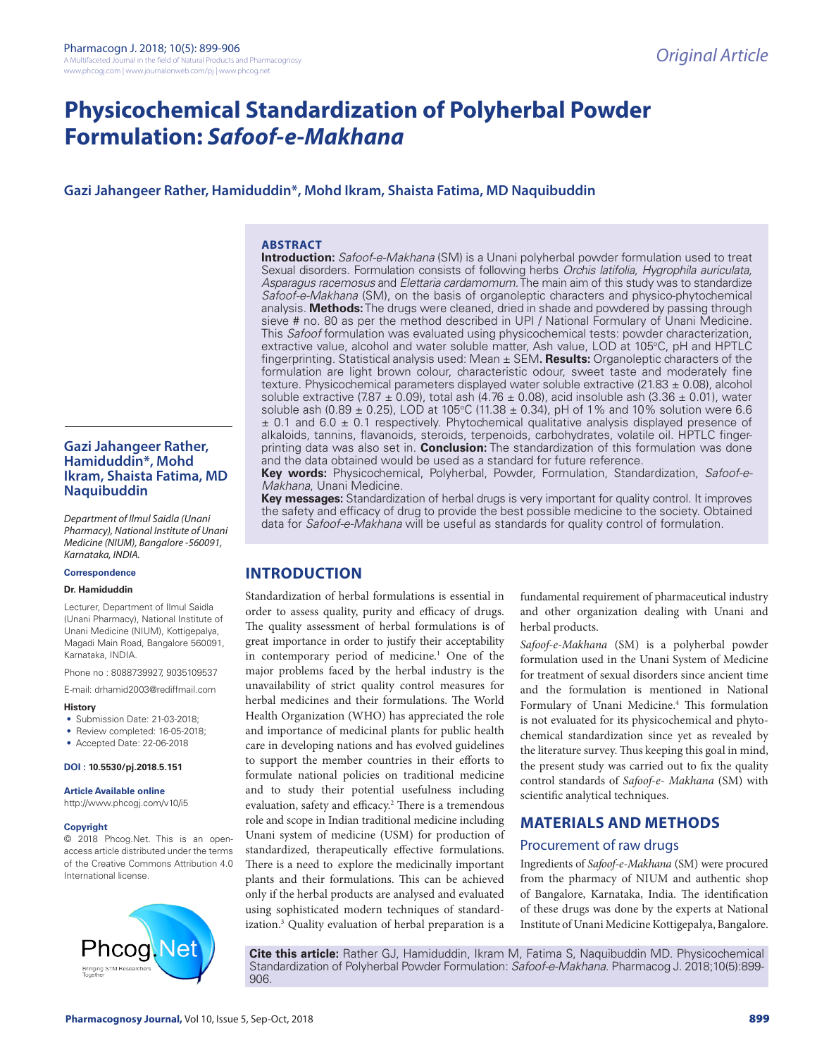# **Physicochemical Standardization of Polyherbal Powder Formulation:** *Safoof-e-Makhana*

# **Gazi Jahangeer Rather, Hamiduddin\*, Mohd Ikram, Shaista Fatima, MD Naquibuddin**

#### **ABSTRACT**

**Introduction:** *Safoof-e-Makhana* (SM) is a Unani polyherbal powder formulation used to treat Sexual disorders. Formulation consists of following herbs *Orchis latifolia, Hygrophila auriculata, Asparagus racemosus* and *Elettaria cardamomum*. The main aim of this study was to standardize *Safoof-e-Makhana* (SM), on the basis of organoleptic characters and physico-phytochemical analysis. **Methods:** The drugs were cleaned, dried in shade and powdered by passing through sieve # no. 80 as per the method described in UPI / National Formulary of Unani Medicine. This *Safoof* formulation was evaluated using physicochemical tests: powder characterization, extractive value, alcohol and water soluble matter, Ash value, LOD at 105°C, pH and HPTLC fingerprinting. Statistical analysis used: Mean ± SEM**. Results:** Organoleptic characters of the formulation are light brown colour, characteristic odour, sweet taste and moderately fine texture. Physicochemical parameters displayed water soluble extractive (21.83 ± 0.08), alcohol soluble extractive (7.87  $\pm$  0.09), total ash (4.76  $\pm$  0.08), acid insoluble ash (3.36  $\pm$  0.01), water soluble ash (0.89  $\pm$  0.25), LOD at 105°C (11.38  $\pm$  0.34), pH of 1% and 10% solution were 6.6  $\pm$  0.1 and 6.0  $\pm$  0.1 respectively. Phytochemical qualitative analysis displayed presence of alkaloids, tannins, flavanoids, steroids, terpenoids, carbohydrates, volatile oil. HPTLC fingerprinting data was also set in. **Conclusion:** The standardization of this formulation was done and the data obtained would be used as a standard for future reference.

**Key words:** Physicochemical, Polyherbal, Powder, Formulation, Standardization, *Safoof-e-Makhana*, Unani Medicine.

**Key messages:** Standardization of herbal drugs is very important for quality control. It improves the safety and efficacy of drug to provide the best possible medicine to the society. Obtained data for *Safoof-e-Makhana* will be useful as standards for quality control of formulation.

# **INTRODUCTION**

Standardization of herbal formulations is essential in order to assess quality, purity and efficacy of drugs. The quality assessment of herbal formulations is of great importance in order to justify their acceptability in contemporary period of medicine.<sup>1</sup> One of the major problems faced by the herbal industry is the unavailability of strict quality control measures for herbal medicines and their formulations. The World Health Organization (WHO) has appreciated the role and importance of medicinal plants for public health care in developing nations and has evolved guidelines to support the member countries in their efforts to formulate national policies on traditional medicine and to study their potential usefulness including evaluation, safety and efficacy.<sup>2</sup> There is a tremendous role and scope in Indian traditional medicine including Unani system of medicine (USM) for production of standardized, therapeutically effective formulations. There is a need to explore the medicinally important plants and their formulations. This can be achieved only if the herbal products are analysed and evaluated using sophisticated modern techniques of standardization.3 Quality evaluation of herbal preparation is a fundamental requirement of pharmaceutical industry and other organization dealing with Unani and herbal products.

*Safoof-e-Makhana* (SM) is a polyherbal powder formulation used in the Unani System of Medicine for treatment of sexual disorders since ancient time and the formulation is mentioned in National Formulary of Unani Medicine.<sup>4</sup> This formulation is not evaluated for its physicochemical and phytochemical standardization since yet as revealed by the literature survey. Thus keeping this goal in mind, the present study was carried out to fix the quality control standards of *Safoof-e- Makhana* (SM) with scientific analytical techniques.

# **MATERIALS AND METHODS**

### Procurement of raw drugs

Ingredients of *Safoof-e-Makhana* (SM) were procured from the pharmacy of NIUM and authentic shop of Bangalore, Karnataka, India. The identification of these drugs was done by the experts at National Institute of Unani Medicine Kottigepalya, Bangalore.

**Cite this article:** Rather GJ, Hamiduddin, Ikram M, Fatima S, Naquibuddin MD. Physicochemical Standardization of Polyherbal Powder Formulation: *Safoof-e-Makhana*. Pharmacog J. 2018;10(5):899- 906.

# **Gazi Jahangeer Rather, Hamiduddin\*, Mohd Ikram, Shaista Fatima, MD Naquibuddin**

*Department of Ilmul Saidla (Unani Pharmacy), National Institute of Unani Medicine (NIUM), Bangalore -560091, Karnataka, INDIA.*

### **Correspondence**

#### **Dr. Hamiduddin**

Lecturer, Department of Ilmul Saidla (Unani Pharmacy), National Institute of Unani Medicine (NIUM), Kottigepalya, Magadi Main Road, Bangalore 560091, Karnataka, INDIA.

Phone no : 8088739927, 9035109537

E-mail: drhamid2003@rediffmail.com

#### **History**

- Submission Date: 21-03-2018;
- Review completed: 16-05-2018;
- Accepted Date: 22-06-2018

#### **DOI : 10.5530/pj.2018.5.151**

**Article Available online** 

http://www.phcogj.com/v10/i5

#### **Copyright**

© 2018 Phcog.Net. This is an openaccess article distributed under the terms of the Creative Commons Attribution 4.0 International license.

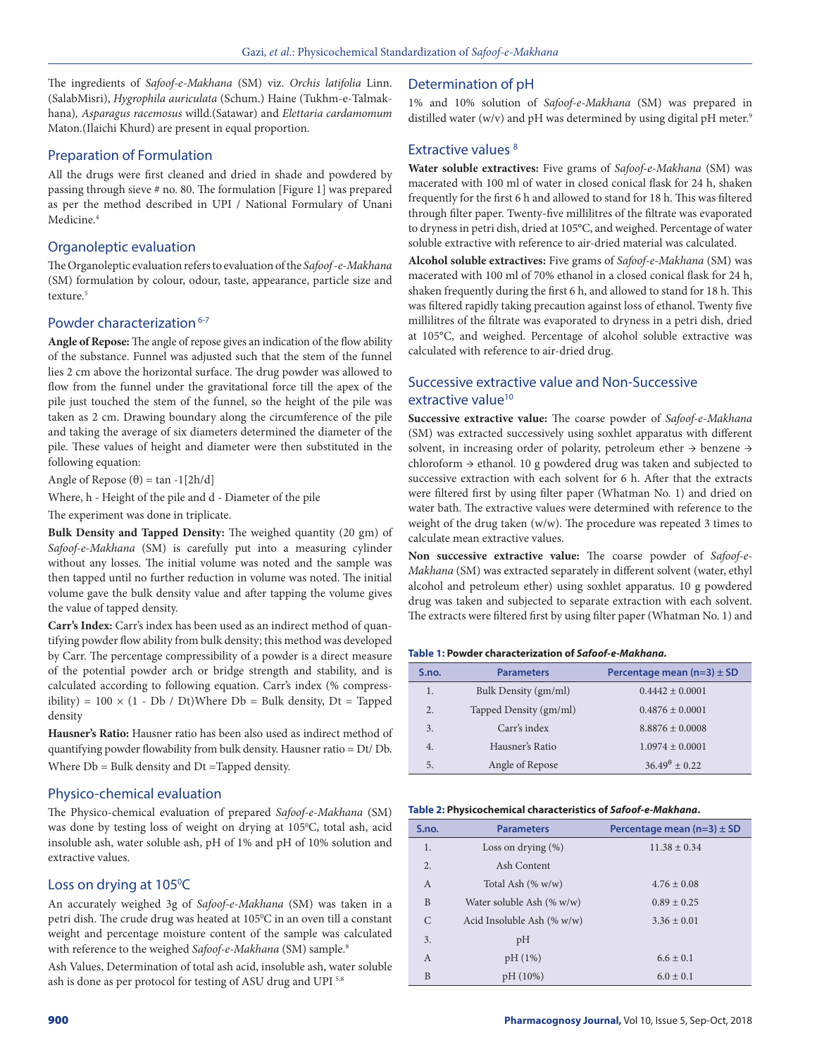The ingredients of *Safoof-e-Makhana* (SM) viz. *Orchis latifolia* Linn. (SalabMisri), *Hygrophila auriculata* (Schum.) Haine (Tukhm-e-Talmakhana)*, Asparagus racemosus* willd.(Satawar) and *Elettaria cardamomum* Maton.(Ilaichi Khurd) are present in equal proportion.

### Preparation of Formulation

All the drugs were first cleaned and dried in shade and powdered by passing through sieve # no. 80. The formulation [Figure 1] was prepared as per the method described in UPI / National Formulary of Unani Medicine.4

### Organoleptic evaluation

The Organoleptic evaluation refers to evaluation of the *Safoof -e-Makhana*  (SM) formulation by colour, odour, taste, appearance, particle size and texture<sup>5</sup>

# Powder characterization<sup>6-7</sup>

**Angle of Repose:** The angle of repose gives an indication of the flow ability of the substance. Funnel was adjusted such that the stem of the funnel lies 2 cm above the horizontal surface. The drug powder was allowed to flow from the funnel under the gravitational force till the apex of the pile just touched the stem of the funnel, so the height of the pile was taken as 2 cm. Drawing boundary along the circumference of the pile and taking the average of six diameters determined the diameter of the pile. These values of height and diameter were then substituted in the following equation:

Angle of Repose (θ) = tan -1[2h/d]

Where, h - Height of the pile and d - Diameter of the pile

The experiment was done in triplicate.

**Bulk Density and Tapped Density:** The weighed quantity (20 gm) of *Safoof-e-Makhana* (SM) is carefully put into a measuring cylinder without any losses. The initial volume was noted and the sample was then tapped until no further reduction in volume was noted. The initial volume gave the bulk density value and after tapping the volume gives the value of tapped density.

**Carr's Index:** Carr's index has been used as an indirect method of quantifying powder flow ability from bulk density; this method was developed by Carr. The percentage compressibility of a powder is a direct measure of the potential powder arch or bridge strength and stability, and is calculated according to following equation. Carr's index (% compressibility) =  $100 \times (1 - Db / Dt)$ Where Db = Bulk density, Dt = Tapped density

**Hausner's Ratio:** Hausner ratio has been also used as indirect method of quantifying powder flowability from bulk density. Hausner ratio = Dt/ Db. Where Db = Bulk density and Dt =Tapped density.

### Physico-chemical evaluation

The Physico-chemical evaluation of prepared *Safoof-e-Makhana* (SM) was done by testing loss of weight on drying at 105°C, total ash, acid insoluble ash, water soluble ash, pH of 1% and pH of 10% solution and extractive values.

### Loss on drying at 105°C

An accurately weighed 3g of *Safoof-e-Makhana* (SM) was taken in a petri dish. The crude drug was heated at 105°C in an oven till a constant weight and percentage moisture content of the sample was calculated with reference to the weighed *Safoof-e-Makhana* (SM) sample.8

Ash Values, Determination of total ash acid, insoluble ash, water soluble ash is done as per protocol for testing of ASU drug and UPI<sup>5,8</sup>

### Determination of pH

1% and 10% solution of *Safoof-e-Makhana* (SM) was prepared in distilled water (w/v) and pH was determined by using digital pH meter.<sup>9</sup>

### Extractive values<sup>8</sup>

**Water soluble extractives:** Five grams of *Safoof-e-Makhana* (SM) was macerated with 100 ml of water in closed conical flask for 24 h, shaken frequently for the first 6 h and allowed to stand for 18 h. This was filtered through filter paper. Twenty-five millilitres of the filtrate was evaporated to dryness in petri dish, dried at 105°C, and weighed. Percentage of water soluble extractive with reference to air-dried material was calculated.

**Alcohol soluble extractives:** Five grams of *Safoof-e-Makhana* (SM) was macerated with 100 ml of 70% ethanol in a closed conical flask for 24 h, shaken frequently during the first 6 h, and allowed to stand for 18 h. This was filtered rapidly taking precaution against loss of ethanol. Twenty five millilitres of the filtrate was evaporated to dryness in a petri dish, dried at 105°C, and weighed. Percentage of alcohol soluble extractive was calculated with reference to air-dried drug.

# Successive extractive value and Non-Successive extractive value<sup>10</sup>

**Successive extractive value:** The coarse powder of *Safoof-e-Makhana*  (SM) was extracted successively using soxhlet apparatus with different solvent, in increasing order of polarity, petroleum ether → benzene → chloroform  $\rightarrow$  ethanol. 10 g powdered drug was taken and subjected to successive extraction with each solvent for 6 h. After that the extracts were filtered first by using filter paper (Whatman No. 1) and dried on water bath. The extractive values were determined with reference to the weight of the drug taken (w/w). The procedure was repeated 3 times to calculate mean extractive values.

**Non successive extractive value:** The coarse powder of *Safoof-e-Makhana* (SM) was extracted separately in different solvent (water, ethyl alcohol and petroleum ether) using soxhlet apparatus. 10 g powdered drug was taken and subjected to separate extraction with each solvent. The extracts were filtered first by using filter paper (Whatman No. 1) and

#### **Table 1: Powder characterization of** *Safoof-e-Makhana.*

| S.no. | <b>Parameters</b>      | Percentage mean $(n=3) \pm SD$ |
|-------|------------------------|--------------------------------|
| 1.    | Bulk Density (gm/ml)   | $0.4442 \pm 0.0001$            |
| 2.    | Tapped Density (gm/ml) | $0.4876 \pm 0.0001$            |
| 3.    | Carr's index           | $8.8876 \pm 0.0008$            |
| 4.    | Hausner's Ratio        | $1.0974 \pm 0.0001$            |
| 5.    | Angle of Repose        | $36.49^{\theta} + 0.22$        |

#### **Table 2: Physicochemical characteristics of** *Safoof-e-Makhana***.**

| S.no.         | <b>Parameters</b>             | Percentage mean $(n=3) \pm SD$ |
|---------------|-------------------------------|--------------------------------|
| 1.            | Loss on drying $(\%)$         | $11.38 \pm 0.34$               |
| 2.            | Ash Content                   |                                |
| $\mathsf{A}$  | Total Ash $(\% w/w)$          | $4.76 \pm 0.08$                |
| B             | Water soluble Ash $(\% w/w)$  | $0.89 + 0.25$                  |
| $\mathcal{C}$ | Acid Insoluble Ash $(\% w/w)$ | $3.36 \pm 0.01$                |
| 3.            | pH                            |                                |
| A             | pH(1%)                        | $6.6 \pm 0.1$                  |
| B             | pH(10%)                       | $6.0 \pm 0.1$                  |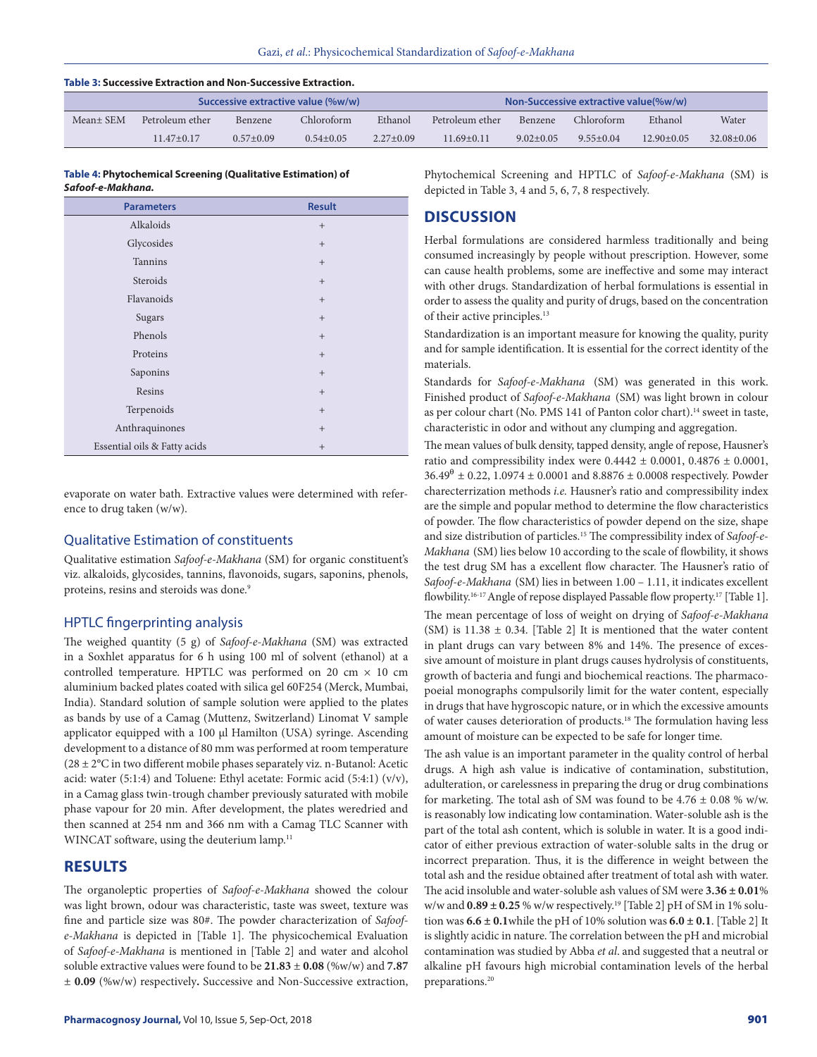#### **Table 3: Successive Extraction and Non-Successive Extraction.**

|           | Successive extractive value (%w/w) |                |               |             |                 | Non-Successive extractive value(%w/w) |               |                |                |
|-----------|------------------------------------|----------------|---------------|-------------|-----------------|---------------------------------------|---------------|----------------|----------------|
| Mean+ SEM | Petroleum ether                    | <b>Benzene</b> | Chloroform    | Ethanol     | Petroleum ether | <b>Benzene</b>                        | Chloroform    | Ethanol        | Water          |
|           | $11.47+0.17$                       | $0.57+0.09$    | $0.54 + 0.05$ | $2.27+0.09$ | $11.69 + 0.11$  | $9.02 + 0.05$                         | $9.55 + 0.04$ | $12.90 + 0.05$ | $32.08 + 0.06$ |

#### **Table 4: Phytochemical Screening (Qualitative Estimation) of**  *Safoof-e-Makhana.*

| <b>Parameters</b>            | <b>Result</b>   |
|------------------------------|-----------------|
| Alkaloids                    | $+$             |
| Glycosides                   | $+$             |
| Tannins                      | $+$             |
| Steroids                     | $+$             |
| Flavanoids                   | $+$             |
| Sugars                       | $+$             |
| Phenols                      | $+$             |
| Proteins                     | $+$             |
| Saponins                     | $+$             |
| Resins                       | $+$             |
| Terpenoids                   | $+$             |
| Anthraquinones               | $+$             |
| Essential oils & Fatty acids | $\! + \!\!\!\!$ |

evaporate on water bath. Extractive values were determined with reference to drug taken (w/w).

### Qualitative Estimation of constituents

Qualitative estimation *Safoof-e-Makhana* (SM) for organic constituent's viz. alkaloids, glycosides, tannins, flavonoids, sugars, saponins, phenols, proteins, resins and steroids was done.<sup>9</sup>

#### HPTLC fingerprinting analysis

The weighed quantity (5 g) of *Safoof-e-Makhana* (SM) was extracted in a Soxhlet apparatus for 6 h using 100 ml of solvent (ethanol) at a controlled temperature. HPTLC was performed on 20 cm  $\times$  10 cm aluminium backed plates coated with silica gel 60F254 (Merck, Mumbai, India). Standard solution of sample solution were applied to the plates as bands by use of a Camag (Muttenz, Switzerland) Linomat V sample applicator equipped with a 100 μl Hamilton (USA) syringe. Ascending development to a distance of 80 mm was performed at room temperature  $(28 \pm 2^{\circ}C)$  in two different mobile phases separately viz. n-Butanol: Acetic acid: water (5:1:4) and Toluene: Ethyl acetate: Formic acid (5:4:1) (v/v), in a Camag glass twin-trough chamber previously saturated with mobile phase vapour for 20 min. After development, the plates weredried and then scanned at 254 nm and 366 nm with a Camag TLC Scanner with WINCAT software, using the deuterium lamp.<sup>11</sup>

### **RESULTS**

The organoleptic properties of *Safoof-e-Makhana* showed the colour was light brown, odour was characteristic, taste was sweet, texture was fine and particle size was 80#. The powder characterization of *Safoofe-Makhana* is depicted in [Table 1]. The physicochemical Evaluation of *Safoof-e-Makhana* is mentioned in [Table 2] and water and alcohol soluble extractive values were found to be **21.83** ± **0.08** (%w/w) and **7.87**  ± **0.09** (%w/w) respectively**.** Successive and Non-Successive extraction, Phytochemical Screening and HPTLC of *Safoof-e-Makhana* (SM) is depicted in Table 3, 4 and 5, 6, 7, 8 respectively.

# **DISCUSSION**

Herbal formulations are considered harmless traditionally and being consumed increasingly by people without prescription. However, some can cause health problems, some are ineffective and some may interact with other drugs. Standardization of herbal formulations is essential in order to assess the quality and purity of drugs, based on the concentration of their active principles.<sup>13</sup>

Standardization is an important measure for knowing the quality, purity and for sample identification. It is essential for the correct identity of the materials.

Standards for *Safoof-e-Makhana* (SM) was generated in this work. Finished product of *Safoof-e-Makhana* (SM) was light brown in colour as per colour chart (No. PMS 141 of Panton color chart).<sup>14</sup> sweet in taste, characteristic in odor and without any clumping and aggregation.

The mean values of bulk density, tapped density, angle of repose, Hausner's ratio and compressibility index were  $0.4442 \pm 0.0001$ ,  $0.4876 \pm 0.0001$ ,  $36.49^{\theta} \pm 0.22$ , 1.0974  $\pm$  0.0001 and 8.8876  $\pm$  0.0008 respectively. Powder charecterrization methods *i.e.* Hausner's ratio and compressibility index are the simple and popular method to determine the flow characteristics of powder. The flow characteristics of powder depend on the size, shape and size distribution of particles.15 The compressibility index of *Safoof-e-Makhana* (SM) lies below 10 according to the scale of flowbility, it shows the test drug SM has a excellent flow character. The Hausner's ratio of *Safoof-e-Makhana* (SM) lies in between 1.00 – 1.11, it indicates excellent flowbility.<sup>16-17</sup> Angle of repose displayed Passable flow property.<sup>17</sup> [Table 1]. The mean percentage of loss of weight on drying of *Safoof-e-Makhana* (SM) is  $11.38 \pm 0.34$ . [Table 2] It is mentioned that the water content in plant drugs can vary between 8% and 14%. The presence of excessive amount of moisture in plant drugs causes hydrolysis of constituents, growth of bacteria and fungi and biochemical reactions. The pharmacopoeial monographs compulsorily limit for the water content, especially in drugs that have hygroscopic nature, or in which the excessive amounts of water causes deterioration of products.18 The formulation having less amount of moisture can be expected to be safe for longer time.

The ash value is an important parameter in the quality control of herbal drugs. A high ash value is indicative of contamination, substitution, adulteration, or carelessness in preparing the drug or drug combinations for marketing. The total ash of SM was found to be  $4.76 \pm 0.08$  % w/w. is reasonably low indicating low contamination. Water-soluble ash is the part of the total ash content, which is soluble in water. It is a good indicator of either previous extraction of water-soluble salts in the drug or incorrect preparation. Thus, it is the difference in weight between the total ash and the residue obtained after treatment of total ash with water. The acid insoluble and water-soluble ash values of SM were **3.36 ± 0.01**% w/w and  $0.89 \pm 0.25$  % w/w respectively.<sup>19</sup> [Table 2] pH of SM in 1% solution was  $6.6 \pm 0.1$  while the pH of 10% solution was  $6.0 \pm 0.1$ . [Table 2] It is slightly acidic in nature. The correlation between the pH and microbial contamination was studied by Abba *et al*. and suggested that a neutral or alkaline pH favours high microbial contamination levels of the herbal preparations.20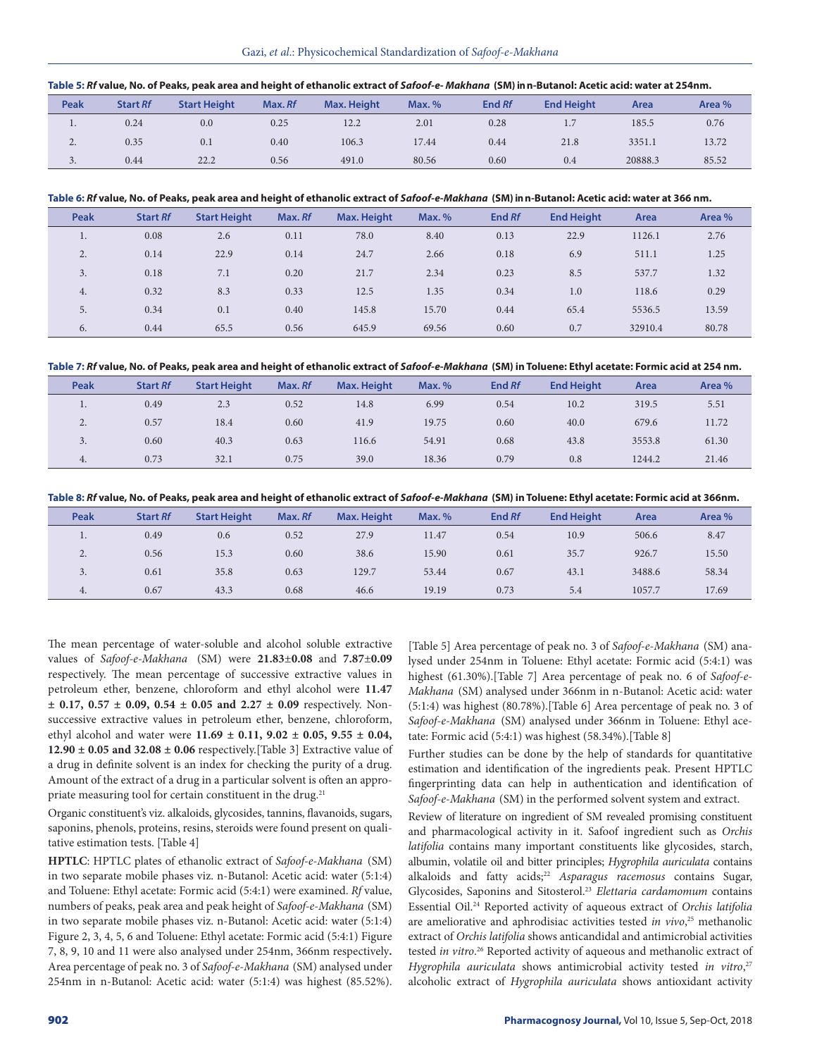|  | Table 5: Rf value, No. of Peaks, peak area and height of ethanolic extract of Safoof-e-Makhana (SM) in n-Butanol: Acetic acid: water at 254nm. |
|--|------------------------------------------------------------------------------------------------------------------------------------------------|
|  |                                                                                                                                                |

| Peak                     | <b>Start Rf</b> | <b>Start Height</b> | Max. Rf | Max. Height | Max. % | End Rf | <b>End Height</b> | Area    | Area % |
|--------------------------|-----------------|---------------------|---------|-------------|--------|--------|-------------------|---------|--------|
| $\cdot$                  | 0.24            | 0.0                 | 0.25    | 12.2        | 2.01   | 0.28   | 1.7               | 185.5   | 0.76   |
| <u>.</u>                 | 0.35            | 0.1                 | 0.40    | 106.3       | 17.44  | 0.44   | 21.8              | 3351.1  | 13.72  |
| $\overline{\phantom{a}}$ | 0.44            | 22.2                | 0.56    | 491.0       | 80.56  | 0.60   | 0.4               | 20888.3 | 85.52  |

#### **Table 6:** *Rf* **value, No. of Peaks, peak area and height of ethanolic extract of** *Safoof-e-Makhana* **(SM) in n-Butanol: Acetic acid: water at 366 nm.**

| Peak    | <b>Start Rf</b> | <b>Start Height</b> | Max. Rf | Max. Height | Max. % | End Rf | <b>End Height</b> | Area    | Area % |
|---------|-----------------|---------------------|---------|-------------|--------|--------|-------------------|---------|--------|
| $\cdot$ | 0.08            | 2.6                 | 0.11    | 78.0        | 8.40   | 0.13   | 22.9              | 1126.1  | 2.76   |
| 2.      | 0.14            | 22.9                | 0.14    | 24.7        | 2.66   | 0.18   | 6.9               | 511.1   | 1.25   |
| 3.      | 0.18            | 7.1                 | 0.20    | 21.7        | 2.34   | 0.23   | 8.5               | 537.7   | 1.32   |
| 4.      | 0.32            | 8.3                 | 0.33    | 12.5        | 1.35   | 0.34   | 1.0               | 118.6   | 0.29   |
| 5.      | 0.34            | 0.1                 | 0.40    | 145.8       | 15.70  | 0.44   | 65.4              | 5536.5  | 13.59  |
| 6.      | 0.44            | 65.5                | 0.56    | 645.9       | 69.56  | 0.60   | 0.7               | 32910.4 | 80.78  |

**Table 7:** *Rf* **value, No. of Peaks, peak area and height of ethanolic extract of** *Safoof-e-Makhana* **(SM) in Toluene: Ethyl acetate: Formic acid at 254 nm.**

| Peak                  | <b>Start Rf</b> | <b>Start Height</b> | Max. Rf | Max. Height | Max. % | End Rf | <b>End Height</b> | Area   | Area % |
|-----------------------|-----------------|---------------------|---------|-------------|--------|--------|-------------------|--------|--------|
|                       | 0.49            | 2.3                 | 0.52    | 14.8        | 6.99   | 0.54   | 10.2              | 319.5  | 5.51   |
| $\Omega$<br><u>L.</u> | 0.57            | 18.4                | 0.60    | 41.9        | 19.75  | 0.60   | 40.0              | 679.6  | 11.72  |
| J.                    | 0.60            | 40.3                | 0.63    | 116.6       | 54.91  | 0.68   | 43.8              | 3553.8 | 61.30  |
| 4.                    | 0.73            | 32.1                | 0.75    | 39.0        | 18.36  | 0.79   | 0.8               | 1244.2 | 21.46  |

**Table 8:** *Rf* **value, No. of Peaks, peak area and height of ethanolic extract of** *Safoof-e-Makhana* **(SM) in Toluene: Ethyl acetate: Formic acid at 366nm.**

| Peak     | <b>Start Rf</b> | <b>Start Height</b> | Max. Rf | <b>Max. Height</b> | Max. % | End Rf | <b>End Height</b> | Area   | Area % |
|----------|-----------------|---------------------|---------|--------------------|--------|--------|-------------------|--------|--------|
| $\cdot$  | 0.49            | 0.6                 | 0.52    | 27.9               | 11.47  | 0.54   | 10.9              | 506.6  | 8.47   |
| <u>.</u> | 0.56            | 15.3                | 0.60    | 38.6               | 15.90  | 0.61   | 35.7              | 926.7  | 15.50  |
| <u>.</u> | 0.61            | 35.8                | 0.63    | 129.7              | 53.44  | 0.67   | 43.1              | 3488.6 | 58.34  |
| 4.       | 0.67            | 43.3                | 0.68    | 46.6               | 19.19  | 0.73   | 5.4               | 1057.7 | 17.69  |

The mean percentage of water-soluble and alcohol soluble extractive values of *Safoof-e-Makhana* (SM) were **21.83**±**0.08** and **7.87**±**0.09**  respectively. The mean percentage of successive extractive values in petroleum ether, benzene, chloroform and ethyl alcohol were **11.47 ± 0.17, 0.57 ± 0.09, 0.54 ± 0.05 and 2.27 ± 0.09** respectively. Nonsuccessive extractive values in petroleum ether, benzene, chloroform, ethyl alcohol and water were **11.69 ± 0.11, 9.02 ± 0.05, 9.55 ± 0.04, 12.90 ± 0.05 and 32.08 ± 0.06** respectively.[Table 3] Extractive value of a drug in definite solvent is an index for checking the purity of a drug. Amount of the extract of a drug in a particular solvent is often an appropriate measuring tool for certain constituent in the drug.<sup>21</sup>

Organic constituent's viz. alkaloids, glycosides, tannins, flavanoids, sugars, saponins, phenols, proteins, resins, steroids were found present on qualitative estimation tests. [Table 4]

**HPTLC**: HPTLC plates of ethanolic extract of *Safoof-e-Makhana* (SM) in two separate mobile phases viz. n-Butanol: Acetic acid: water (5:1:4) and Toluene: Ethyl acetate: Formic acid (5:4:1) were examined. *Rf* value, numbers of peaks, peak area and peak height of *Safoof-e-Makhana* (SM) in two separate mobile phases viz. n-Butanol: Acetic acid: water (5:1:4) Figure 2, 3, 4, 5, 6 and Toluene: Ethyl acetate: Formic acid (5:4:1) Figure 7, 8, 9, 10 and 11 were also analysed under 254nm, 366nm respectively**.** Area percentage of peak no. 3 of *Safoof-e-Makhana* (SM) analysed under 254nm in n-Butanol: Acetic acid: water (5:1:4) was highest (85.52%). [Table 5] Area percentage of peak no. 3 of *Safoof-e-Makhana* (SM) analysed under 254nm in Toluene: Ethyl acetate: Formic acid (5:4:1) was highest (61.30%).[Table 7] Area percentage of peak no. 6 of *Safoof-e-Makhana* (SM) analysed under 366nm in n-Butanol: Acetic acid: water (5:1:4) was highest (80.78%).[Table 6] Area percentage of peak no. 3 of *Safoof-e-Makhana* (SM) analysed under 366nm in Toluene: Ethyl acetate: Formic acid (5:4:1) was highest (58.34%).[Table 8]

Further studies can be done by the help of standards for quantitative estimation and identification of the ingredients peak. Present HPTLC fingerprinting data can help in authentication and identification of *Safoof-e-Makhana* (SM) in the performed solvent system and extract.

Review of literature on ingredient of SM revealed promising constituent and pharmacological activity in it. Safoof ingredient such as *Orchis latifolia* contains many important constituents like glycosides, starch, albumin, volatile oil and bitter principles; *Hygrophila auriculata* contains alkaloids and fatty acids;<sup>22</sup> Asparagus racemosus contains Sugar, Glycosides, Saponins and Sitosterol.23 *Elettaria cardamomum* contains Essential Oil.24 Reported activity of aqueous extract of *Orchis latifolia* are ameliorative and aphrodisiac activities tested *in vivo*, 25 methanolic extract of *Orchis latifolia* shows anticandidal and antimicrobial activities tested *in vitro*. 26 Reported activity of aqueous and methanolic extract of *Hygrophila auriculata* shows antimicrobial activity tested *in vitro*, 27 alcoholic extract of *Hygrophila auriculata* shows antioxidant activity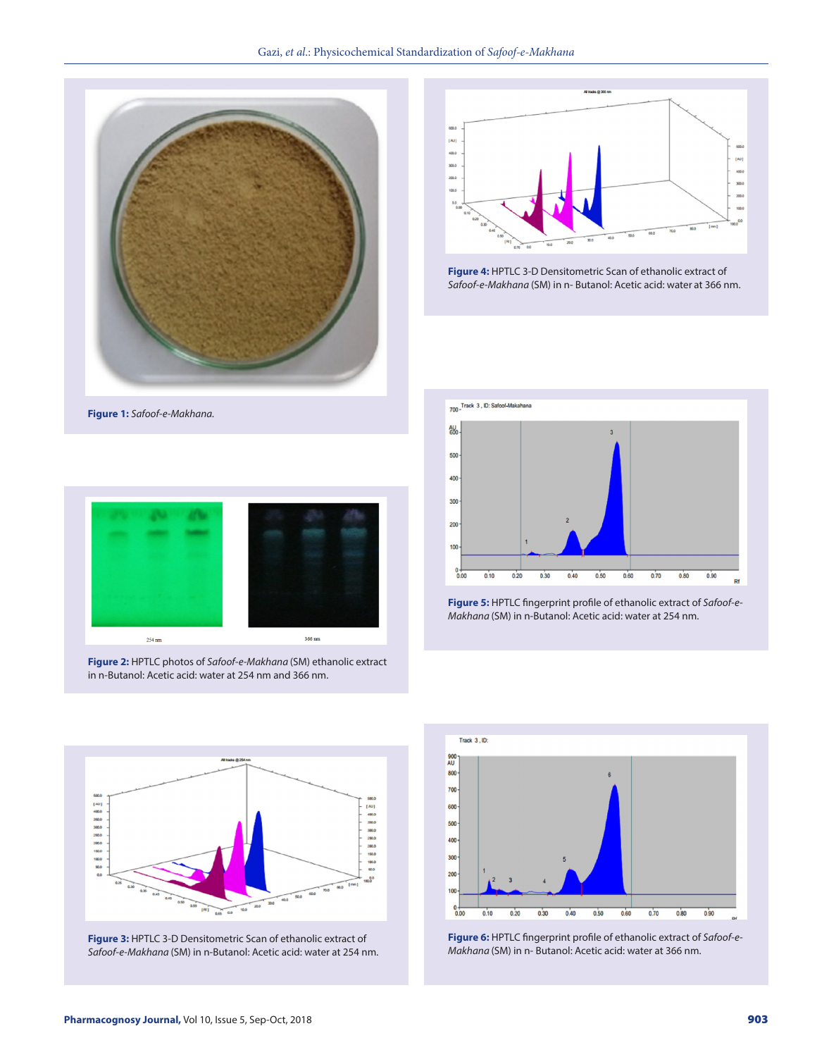



**Figure 4:** HPTLC 3-D Densitometric Scan of ethanolic extract of *Safoof-e-Makhana* (SM) in n- Butanol: Acetic acid: water at 366 nm.





**Figure 2:** HPTLC photos of *Safoof-e-Makhana* (SM) ethanolic extract in n-Butanol: Acetic acid: water at 254 nm and 366 nm.







**Figure 3:** HPTLC 3-D Densitometric Scan of ethanolic extract of *Safoof-e-Makhana* (SM) in n-Butanol: Acetic acid: water at 254 nm.



**Figure 6:** HPTLC fingerprint profile of ethanolic extract of *Safoof-e-Makhana* (SM) in n- Butanol: Acetic acid: water at 366 nm.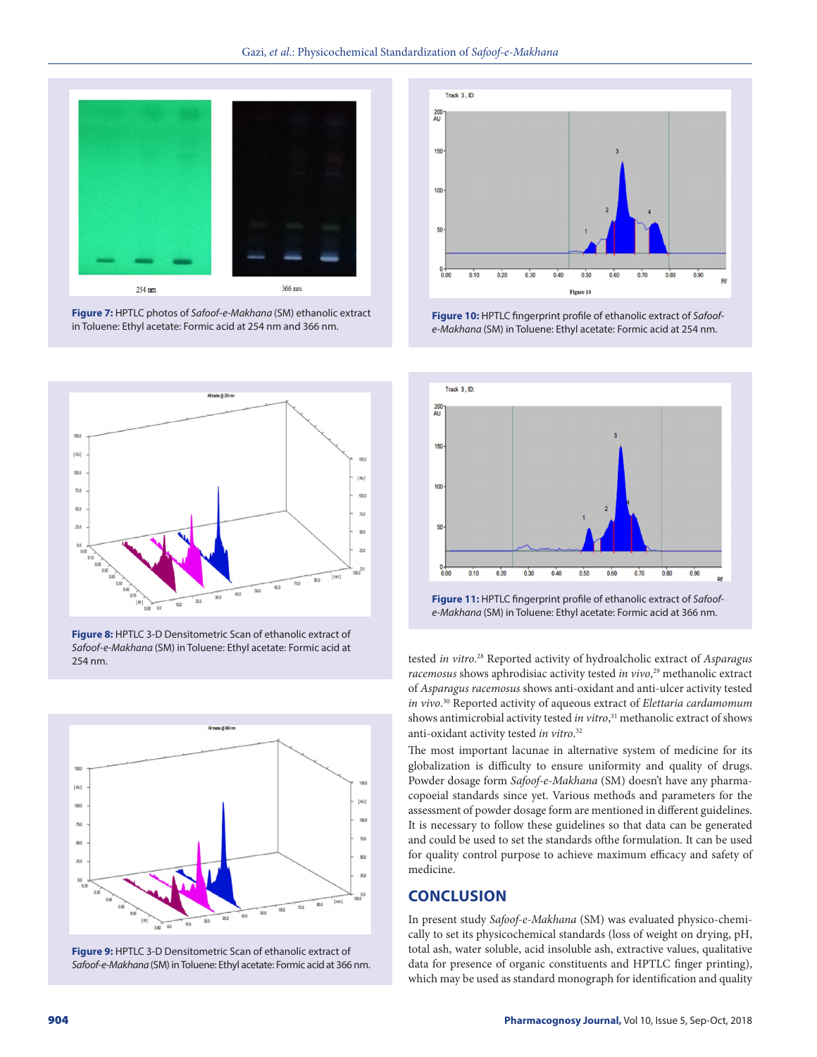

**Figure 7:** HPTLC photos of *Safoof-e-Makhana* (SM) ethanolic extract in Toluene: Ethyl acetate: Formic acid at 254 nm and 366 nm.



**Figure 8:** HPTLC 3-D Densitometric Scan of ethanolic extract of *Safoof-e-Makhana* (SM) in Toluene: Ethyl acetate: Formic acid at 254 nm.



**Figure 9:** HPTLC 3-D Densitometric Scan of ethanolic extract of *Safoof-e-Makhana* (SM) in Toluene: Ethyl acetate: Formic acidat 366 nm.



**Figure 10:** HPTLC fingerprint profile of ethanolic extract of *Safoofe-Makhana* (SM) in Toluene: Ethyl acetate: Formic acid at 254 nm.



*e-Makhana* (SM) in Toluene: Ethyl acetate: Formic acid at 366 nm.

tested *in vitro*. 28 Reported activity of hydroalcholic extract of *Asparagus racemosus* shows aphrodisiac activity tested *in vivo*, 29 methanolic extract of *Asparagus racemosus* shows anti-oxidant and anti-ulcer activity tested *in vivo*. 30 Reported activity of aqueous extract of *Elettaria cardamomum* shows antimicrobial activity tested *in vitro*, 31 methanolic extract of shows anti-oxidant activity tested *in vitro*. 32

The most important lacunae in alternative system of medicine for its globalization is difficulty to ensure uniformity and quality of drugs. Powder dosage form *Safoof-e-Makhana* (SM) doesn't have any pharmacopoeial standards since yet. Various methods and parameters for the assessment of powder dosage form are mentioned in different guidelines. It is necessary to follow these guidelines so that data can be generated and could be used to set the standards ofthe formulation. It can be used for quality control purpose to achieve maximum efficacy and safety of medicine.

# **CONCLUSION**

In present study *Safoof-e-Makhana* (SM) was evaluated physico-chemically to set its physicochemical standards (loss of weight on drying, pH, total ash, water soluble, acid insoluble ash, extractive values, qualitative data for presence of organic constituents and HPTLC finger printing), which may be used as standard monograph for identification and quality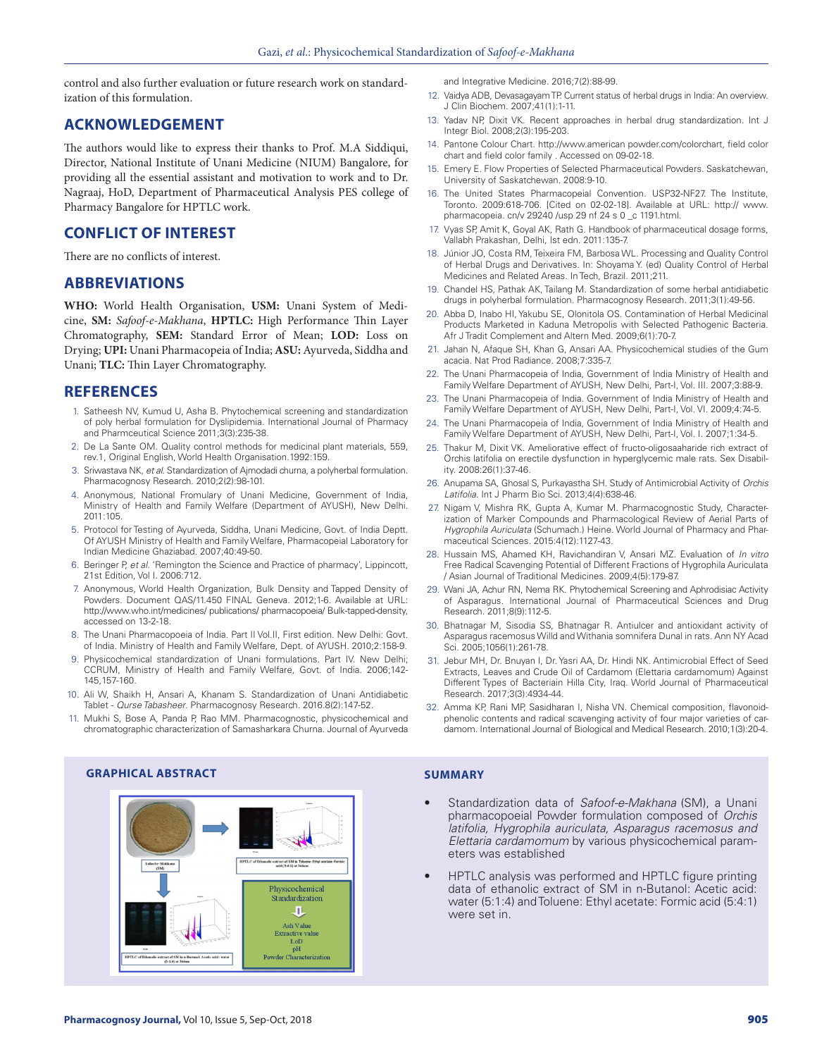control and also further evaluation or future research work on standardization of this formulation.

# **ACKNOWLEDGEMENT**

The authors would like to express their thanks to Prof. M.A Siddiqui, Director, National Institute of Unani Medicine (NIUM) Bangalore, for providing all the essential assistant and motivation to work and to Dr. Nagraaj, HoD, Department of Pharmaceutical Analysis PES college of Pharmacy Bangalore for HPTLC work.

# **CONFLICT OF INTEREST**

There are no conflicts of interest.

### **ABBREVIATIONS**

**WHO:** World Health Organisation, **USM:** Unani System of Medicine, **SM:** *Safoof-e-Makhana*, **HPTLC:** High Performance Thin Layer Chromatography, **SEM:** Standard Error of Mean; **LOD:** Loss on Drying; **UPI:** Unani Pharmacopeia of India; **ASU:** Ayurveda, Siddha and Unani; **TLC:** Thin Layer Chromatography.

### **REFERENCES**

- 1. Satheesh NV, Kumud U, Asha B. Phytochemical screening and standardization of poly herbal formulation for Dyslipidemia. International Journal of Pharmacy and Pharmceutical Science 2011;3(3):235-38.
- 2. De La Sante OM. Quality control methods for medicinal plant materials, 559, rev.1, Original English, World Health Organisation.1992:159.
- 3. Sriwastava NK, *et al*. Standardization of Ajmodadi churna, a polyherbal formulation. Pharmacognosy Research. 2010;2(2):98-101.
- 4. Anonymous, National Fromulary of Unani Medicine, Government of India, Ministry of Health and Family Welfare (Department of AYUSH), New Delhi. 2011:105.
- 5. Protocol for Testing of Ayurveda, Siddha, Unani Medicine, Govt. of India Deptt. Of AYUSH Ministry of Health and Family Welfare, Pharmacopeial Laboratory for Indian Medicine Ghaziabad. 2007;40:49-50.
- 6. Beringer P, *et al*. 'Remington the Science and Practice of pharmacy', Lippincott, 21st Edition, Vol I. 2006:712.
- 7. Anonymous, World Health Organization, Bulk Density and Tapped Density of Powders. Document QAS/11.450 FINAL Geneva. 2012;1-6. Available at URL: http://www.who.int/medicines/ publications/ pharmacopoeia/ Bulk-tapped-density, accessed on 13-2-18.
- 8. The Unani Pharmacopoeia of India. Part II Vol.II, First edition. New Delhi: Govt. of India. Ministry of Health and Family Welfare, Dept. of AYUSH. 2010;2:158-9.
- 9. Physicochemical standardization of Unani formulations. Part IV. New Delhi; CCRUM, Ministry of Health and Family Welfare, Govt. of India. 2006;142- 145,157-160.
- 10. Ali W, Shaikh H, Ansari A, Khanam S. Standardization of Unani Antidiabetic Tablet - *Qurse Tabasheer*. Pharmacognosy Research. 2016.8(2):147-52.
- 11. Mukhi S, Bose A, Panda P, Rao MM. Pharmacognostic, physicochemical and chromatographic characterization of Samasharkara Churna. Journal of Ayurveda

stract of SM in Toluen<br>arid ( S st that Moon Physicochemical Standardization л. Ash Value Extractive value<br>LoD pH **Powder Characterization** ract of SM in n-B<br>C:1:4) at 366mm

and Integrative Medicine. 2016;7(2):88-99.

- 12. Vaidya ADB, Devasagayam TP. Current status of herbal drugs in India: An overview. J Clin Biochem. 2007;41(1):1-11.
- 13. Yadav NP, Dixit VK. Recent approaches in herbal drug standardization. Int J Integr Biol. 2008;2(3):195-203.
- 14. Pantone Colour Chart. http://www.american powder.com/colorchart, field color chart and field color family . Accessed on 09-02-18.
- 15. Emery E. Flow Properties of Selected Pharmaceutical Powders. Saskatchewan, University of Saskatchewan. 2008:9-10.
- 16. The United States Pharmacopeial Convention. USP32-NF27. The Institute, Toronto. 2009:618-706. [Cited on 02-02-18]. Available at URL: http:// www. pharmacopeia. cn/v 29240 /usp 29 nf 24 s 0 \_c 1191.html.
- 17. Vyas SP, Amit K, Goyal AK, Rath G. Handbook of pharmaceutical dosage forms, Vallabh Prakashan, Delhi, Ist edn. 2011:135-7.
- 18. Júnior JO, Costa RM, Teixeira FM, Barbosa WL. Processing and Quality Control of Herbal Drugs and Derivatives. In: Shoyama Y. (ed) Quality Control of Herbal Medicines and Related Areas. In Tech, Brazil. 2011;211.
- 19. Chandel HS, Pathak AK, Tailang M. Standardization of some herbal antidiabetic drugs in polyherbal formulation. Pharmacognosy Research. 2011;3(1):49-56.
- 20. Abba D, Inabo HI, Yakubu SE, Olonitola OS. Contamination of Herbal Medicinal Products Marketed in Kaduna Metropolis with Selected Pathogenic Bacteria. Afr J Tradit Complement and Altern Med. 2009;6(1):70-7.
- 21. Jahan N, Afaque SH, Khan G, Ansari AA. Physicochemical studies of the Gum acacia. Nat Prod Radiance. 2008;7:335-7.
- 22. The Unani Pharmacopeia of India, Government of India Ministry of Health and Family Welfare Department of AYUSH, New Delhi, Part-I, Vol. III. 2007;3:88-9.
- 23. The Unani Pharmacopeia of India. Government of India Ministry of Health and Family Welfare Department of AYUSH, New Delhi, Part-I, Vol. VI. 2009;4:74-5.
- 24. The Unani Pharmacopeia of India, Government of India Ministry of Health and Family Welfare Department of AYUSH, New Delhi, Part-I, Vol. I. 2007;1:34-5.
- 25. Thakur M, Dixit VK. Ameliorative effect of fructo-oligosaaharide rich extract of Orchis latifolia on erectile dysfunction in hyperglycemic male rats. Sex Disability. 2008:26(1):37-46.
- 26. Anupama SA, Ghosal S, Purkayastha SH. Study of Antimicrobial Activity of *Orchis Latifolia.* Int J Pharm Bio Sci. 2013;4(4):638-46.
- 27. Nigam V, Mishra RK, Gupta A, Kumar M. Pharmacognostic Study, Characterization of Marker Compounds and Pharmacological Review of Aerial Parts of *Hygrophila Auriculata* (Schumach.) Heine. World Journal of Pharmacy and Pharmaceutical Sciences. 2015:4(12):1127-43.
- 28. Hussain MS, Ahamed KH, Ravichandiran V, Ansari MZ. Evaluation of *In vitro* Free Radical Scavenging Potential of Different Fractions of Hygrophila Auriculata / Asian Journal of Traditional Medicines. 2009;4(5):179-87.
- 29. Wani JA, Achur RN, Nema RK. Phytochemical Screening and Aphrodisiac Activity of Asparagus. International Journal of Pharmaceutical Sciences and Drug Research. 2011;8(9):112-5.
- 30. Bhatnagar M, Sisodia SS, Bhatnagar R. Antiulcer and antioxidant activity of Asparagus racemosus Willd and Withania somnifera Dunal in rats. Ann NY Acad Sci. 2005;1056(1):261-78.
- 31. Jebur MH, Dr. Bnuyan I, Dr. Yasri AA, Dr. Hindi NK. Antimicrobial Effect of Seed Extracts, Leaves and Crude Oil of Cardamom (Elettaria cardamomum) Against Different Types of Bacteriain Hilla City, Iraq. World Journal of Pharmaceutical Research. 2017;3(3):4934-44.
- 32. Amma KP, Rani MP, Sasidharan I, Nisha VN. Chemical composition, flavonoidphenolic contents and radical scavenging activity of four major varieties of cardamom. International Journal of Biological and Medical Research. 2010;1(3):20-4.

# **GRAPHICAL ABSTRACT SUMMARY**

- Standardization data of *Safoof-e-Makhana* (SM), a Unani pharmacopoeial Powder formulation composed of *Orchis latifolia, Hygrophila auriculata, Asparagus racemosus and Elettaria cardamomum* by various physicochemical parameters was established
- HPTLC analysis was performed and HPTLC figure printing data of ethanolic extract of SM in n-Butanol: Acetic acid: water (5:1:4) and Toluene: Ethyl acetate: Formic acid (5:4:1) were set in.